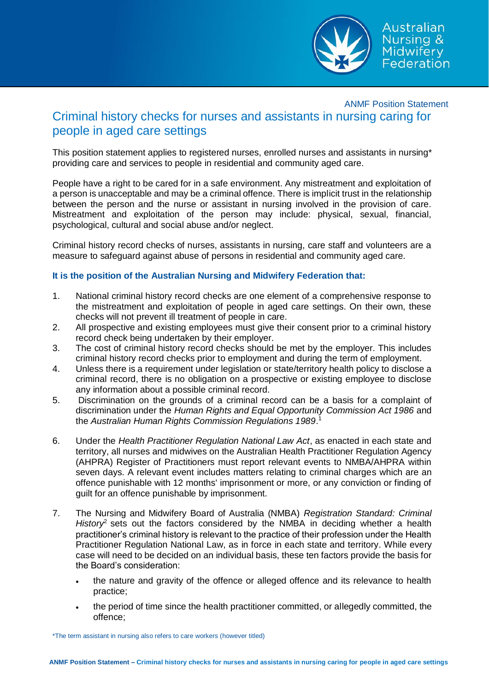

## ANMF Position Statement Criminal history checks for nurses and assistants in nursing caring for people in aged care settings

This position statement applies to registered nurses, enrolled nurses and assistants in nursing\* providing care and services to people in residential and community aged care.

People have a right to be cared for in a safe environment. Any mistreatment and exploitation of a person is unacceptable and may be a criminal offence. There is implicit trust in the relationship between the person and the nurse or assistant in nursing involved in the provision of care. Mistreatment and exploitation of the person may include: physical, sexual, financial, psychological, cultural and social abuse and/or neglect.

Criminal history record checks of nurses, assistants in nursing, care staff and volunteers are a measure to safeguard against abuse of persons in residential and community aged care.

## **It is the position of the Australian Nursing and Midwifery Federation that:**

- 1. National criminal history record checks are one element of a comprehensive response to the mistreatment and exploitation of people in aged care settings. On their own, these checks will not prevent ill treatment of people in care.
- 2. All prospective and existing employees must give their consent prior to a criminal history record check being undertaken by their employer.
- 3. The cost of criminal history record checks should be met by the employer. This includes criminal history record checks prior to employment and during the term of employment.
- 4. Unless there is a requirement under legislation or state/territory health policy to disclose a criminal record, there is no obligation on a prospective or existing employee to disclose any information about a possible criminal record.
- 5. Discrimination on the grounds of a criminal record can be a basis for a complaint of discrimination under the *Human Rights and Equal Opportunity Commission Act 1986* and the *Australian Human Rights Commission Regulations 1989*. 1
- 6. Under the *Health Practitioner Regulation National Law Act*, as enacted in each state and territory, all nurses and midwives on the Australian Health Practitioner Regulation Agency (AHPRA) Register of Practitioners must report relevant events to NMBA/AHPRA within seven days. A relevant event includes matters relating to criminal charges which are an offence punishable with 12 months' imprisonment or more, or any conviction or finding of guilt for an offence punishable by imprisonment.
- 7. The Nursing and Midwifery Board of Australia (NMBA) *Registration Standard: Criminal History*<sup>2</sup> sets out the factors considered by the NMBA in deciding whether a health practitioner's criminal history is relevant to the practice of their profession under the Health Practitioner Regulation National Law, as in force in each state and territory. While every case will need to be decided on an individual basis, these ten factors provide the basis for the Board's consideration:
	- the nature and gravity of the offence or alleged offence and its relevance to health practice;
	- the period of time since the health practitioner committed, or allegedly committed, the offence;

\*The term assistant in nursing also refers to care workers (however titled)